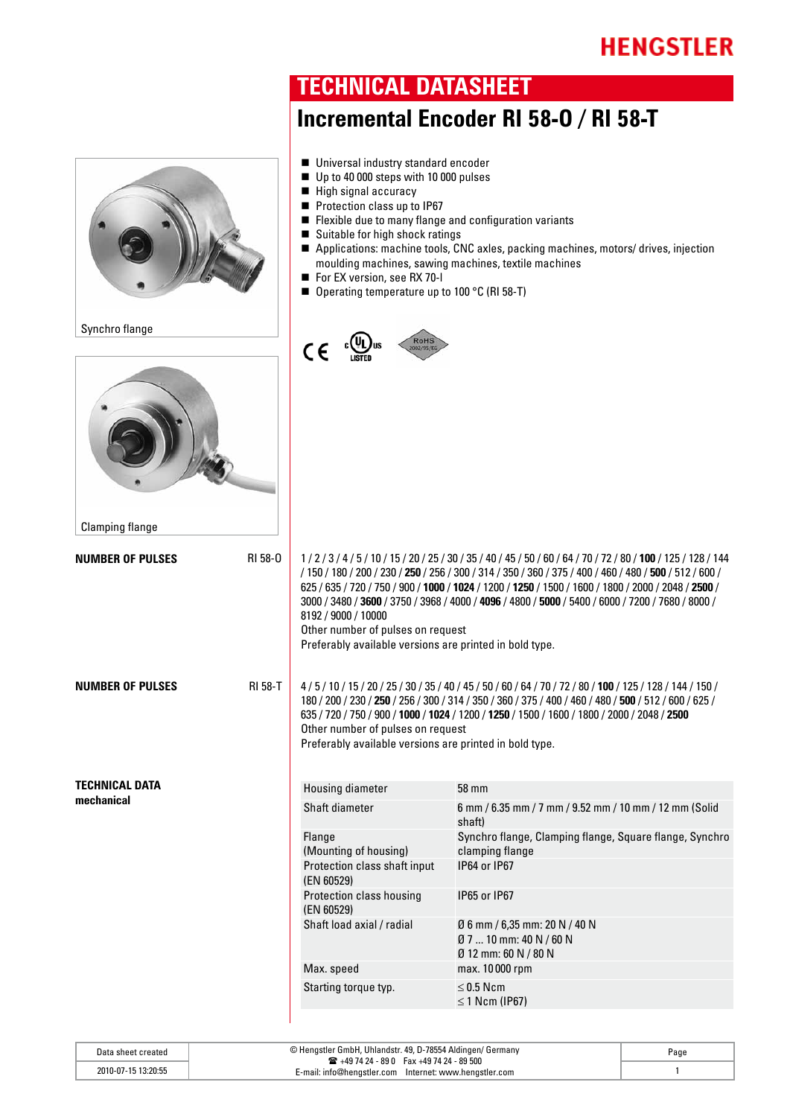

**TECHNICAL DATASHEET**

| Data sheet created  | © Hengstler GmbH, Uhlandstr. 49, D-78554 Aldingen/ Germany<br>$\mathbf{R}$ +49 74 24 - 89 0 Fax +49 74 24 - 89 500 | Page |
|---------------------|--------------------------------------------------------------------------------------------------------------------|------|
| 2010-07-15 13:20:55 | c-mail: info@hengstler.com lnternet: www.hengstler.com                                                             |      |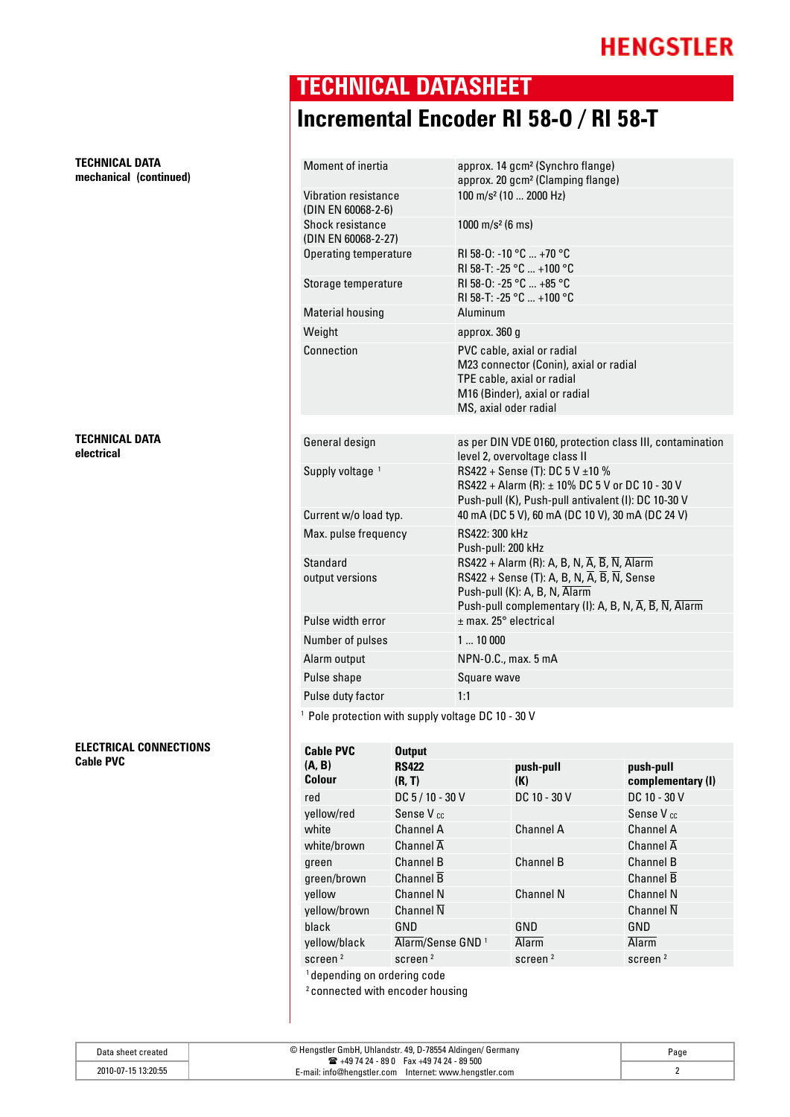**TECHNICAL DATA mechanical (continued)**

#### **TECHNICAL DATA electrical**

**ELECTRICAL CONNECTIONS Cable PVC** 

### **TECHNICAL DATASHEET Incremental Encoder RI 58-O / RI 58-T**

| <b>Moment of inertia</b>                   | approx. 14 gcm <sup>2</sup> (Synchro flange)<br>approx. 20 gcm <sup>2</sup> (Clamping flange)                                                                                                                                                                         |
|--------------------------------------------|-----------------------------------------------------------------------------------------------------------------------------------------------------------------------------------------------------------------------------------------------------------------------|
| Vibration resistance<br>(DIN EN 60068-2-6) | 100 m/s <sup>2</sup> (10  2000 Hz)                                                                                                                                                                                                                                    |
| Shock resistance<br>(DIN EN 60068-2-27)    | 1000 m/s <sup>2</sup> (6 ms)                                                                                                                                                                                                                                          |
| <b>Operating temperature</b>               | RI 58-0: -10 °C  +70 °C<br>RI 58-T: -25 °C  +100 °C                                                                                                                                                                                                                   |
| Storage temperature                        | RI 58-0: -25 °C  +85 °C<br>RI 58-T: -25 °C  +100 °C                                                                                                                                                                                                                   |
| <b>Material housing</b>                    | Aluminum                                                                                                                                                                                                                                                              |
| Weight                                     | approx. 360 g                                                                                                                                                                                                                                                         |
| Connection                                 | PVC cable, axial or radial<br>M23 connector (Conin), axial or radial<br>TPE cable, axial or radial<br>M16 (Binder), axial or radial<br>MS, axial oder radial                                                                                                          |
|                                            |                                                                                                                                                                                                                                                                       |
| General design                             | as per DIN VDE 0160, protection class III, contamination<br>level 2, overvoltage class II                                                                                                                                                                             |
| Supply voltage 1                           | RS422 + Sense (T): DC 5 V ±10 %<br>RS422 + Alarm (R): ± 10% DC 5 V or DC 10 - 30 V<br>Push-pull (K), Push-pull antivalent (I): DC 10-30 V                                                                                                                             |
| Current w/o load typ.                      | 40 mA (DC 5 V), 60 mA (DC 10 V), 30 mA (DC 24 V)                                                                                                                                                                                                                      |
| Max. pulse frequency                       | RS422: 300 kHz<br>Push-pull: 200 kHz                                                                                                                                                                                                                                  |
| <b>Standard</b><br>output versions         | RS422 + Alarm (R): A, B, N, $\overline{A}$ , $\overline{B}$ , $\overline{N}$ , Alarm<br>RS422 + Sense (T): A, B, N, $\overline{A}$ , $\overline{B}$ , $\overline{N}$ , Sense<br>Push-pull (K): A, B, N, Alarm<br>Push-pull complementary (I): A, B, N, A, B, N, Alarm |
| Pulse width error                          | $±$ max. 25 $^{\circ}$ electrical                                                                                                                                                                                                                                     |
| Number of pulses                           | 110000                                                                                                                                                                                                                                                                |
| Alarm output                               | NPN-0.C., max. 5 mA                                                                                                                                                                                                                                                   |
| Pulse shape                                | Square wave                                                                                                                                                                                                                                                           |
| Pulse duty factor                          | 1:1                                                                                                                                                                                                                                                                   |
|                                            |                                                                                                                                                                                                                                                                       |

<sup>1</sup> Pole protection with supply voltage DC 10 - 30 V

| <b>Cable PVC</b>                                         | <b>Output</b>                |                  |                                |
|----------------------------------------------------------|------------------------------|------------------|--------------------------------|
| (A, B)<br><b>Colour</b>                                  | <b>RS422</b><br>(R, T)       | push-pull<br>(K) | push-pull<br>complementary (I) |
| red                                                      | DC 5 / 10 - 30 V             | DC 10 - 30 V     | DC 10 - 30 V                   |
| yellow/red                                               | Sense V <sub>cc</sub>        |                  | Sense V <sub>cc</sub>          |
| white                                                    | Channel A                    | <b>Channel A</b> | Channel A                      |
| white/brown                                              | Channel $\overline{A}$       |                  | Channel $\overline{A}$         |
| green                                                    | <b>Channel B</b>             | <b>Channel B</b> | <b>Channel B</b>               |
| green/brown                                              | Channel $\overline{B}$       |                  | Channel $\overline{B}$         |
| yellow                                                   | <b>Channel N</b>             | <b>Channel N</b> | <b>Channel N</b>               |
| yellow/brown                                             | Channel $\overline{N}$       |                  | Channel $\overline{N}$         |
| black                                                    | GND                          | GND              | GND                            |
| yellow/black                                             | Alarm/Sense GND <sup>1</sup> | Alarm            | <b>Alarm</b>                   |
| screen $2$                                               | screen $2$                   | screen $2$       | screen $2$                     |
| 1 dia ao amin'ny faritr'i Nouvelle-Aquitaine, ao amin'ny |                              |                  |                                |

<sup>1</sup> depending on ordering code

2 connected with encoder housing

| Data sheet created  | © Hengstler GmbH, Uhlandstr. 49, D-78554 Aldingen/ Germany<br>$\mathbf{R}$ +49 74 24 - 89 0 Fax +49 74 24 - 89 500 | Page |
|---------------------|--------------------------------------------------------------------------------------------------------------------|------|
| 2010-07-15 13:20:55 | E-mail: info@henastler.com<br>Internet: www.hengstler.com                                                          |      |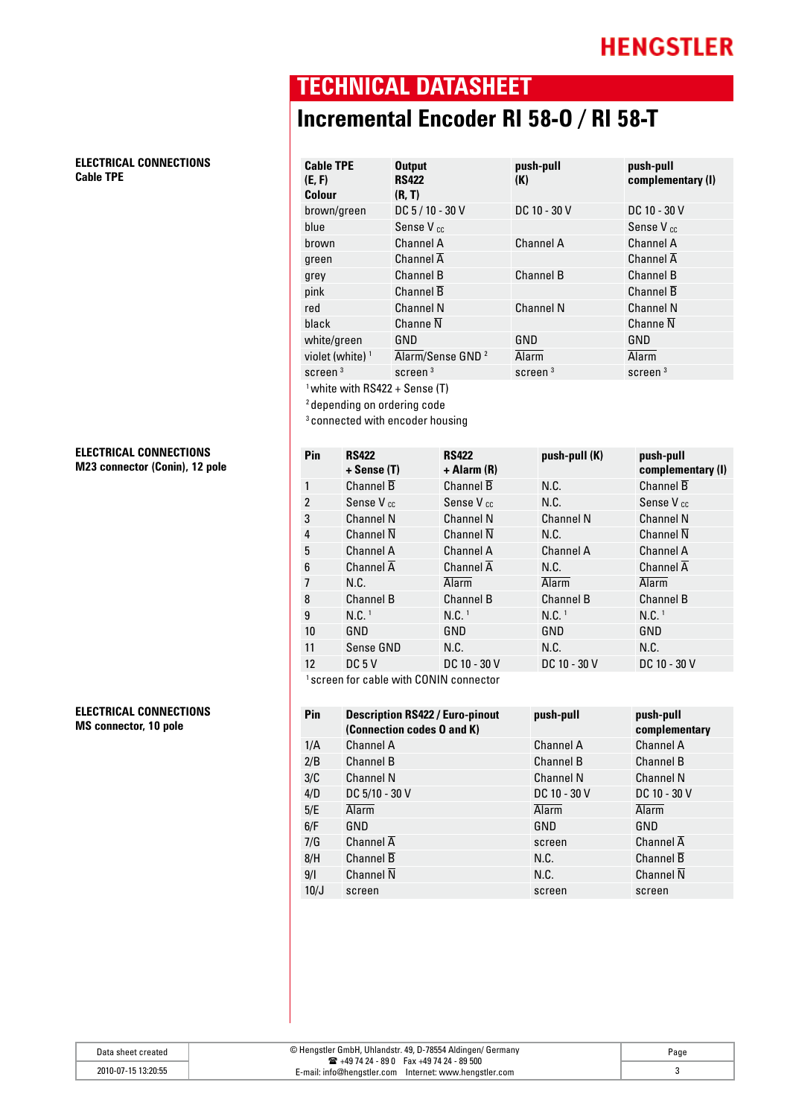**ELECTRICAL CONNECTIONS Cable TPE** 

**ELECTRICAL CONNECTIONS M23 connector (Conin), 12 pole** 

#### **ELECTRICAL CONNECTIONS MS connector, 10 pole**

# **TECHNICAL DATASHEET**

## **Incremental Encoder RI 58-O / RI 58-T**

| <b>Cable TPE</b><br>(E, F)<br><b>Colour</b>                                          | <b>Output</b><br><b>RS422</b><br>(R, T) | push-pull<br>(K) | push-pull<br>complementary (I) |
|--------------------------------------------------------------------------------------|-----------------------------------------|------------------|--------------------------------|
| brown/green                                                                          | DC 5 / 10 - 30 V                        | DC 10 - 30 V     | DC 10 - 30 V                   |
| blue                                                                                 | Sense V <sub>cc</sub>                   |                  | Sense V <sub>cc</sub>          |
| brown                                                                                | Channel A                               | Channel A        | Channel A                      |
| green                                                                                | Channel $\overline{A}$                  |                  | Channel $\overline{A}$         |
| grey                                                                                 | <b>Channel B</b>                        | <b>Channel B</b> | <b>Channel B</b>               |
| pink                                                                                 | Channel B                               |                  | <b>Channel B</b>               |
| red                                                                                  | <b>Channel N</b>                        | <b>Channel N</b> | <b>Channel N</b>               |
| black                                                                                | Channe $\overline{N}$                   |                  | Channe N                       |
| white/green                                                                          | GND                                     | GND              | GND                            |
| violet (white) $1$                                                                   | Alarm/Sense GND <sup>2</sup>            | Alarm            | Alarm                          |
| screen $3$                                                                           | screen <sup>3</sup>                     | screen $3$       | screen <sup>3</sup>            |
| <sup>1</sup> white with RS422 + Sense (T)<br><sup>2</sup> depending on ordering code |                                         |                  |                                |

3 connected with encoder housing

| 1<br>$\overline{2}$<br>3<br>4 | Channel $\overline{B}$<br>Sense V <sub>cc</sub><br><b>Channel N</b><br>Channel $\overline{N}$ | Channel $\overline{B}$<br>Sense V <sub>cc</sub><br><b>Channel N</b> | N.C.<br>N.C.<br><b>Channel N</b> | Channel $\overline{B}$<br>Sense V <sub>cc</sub> |
|-------------------------------|-----------------------------------------------------------------------------------------------|---------------------------------------------------------------------|----------------------------------|-------------------------------------------------|
|                               |                                                                                               |                                                                     |                                  |                                                 |
|                               |                                                                                               |                                                                     |                                  |                                                 |
|                               |                                                                                               |                                                                     |                                  | <b>Channel N</b>                                |
|                               |                                                                                               | Channel $\overline{N}$                                              | N.C.                             | Channel $\overline{N}$                          |
| 5                             | <b>Channel A</b>                                                                              | Channel A                                                           | <b>Channel A</b>                 | Channel A                                       |
| 6                             | Channel $\overline{A}$                                                                        | Channel $\overline{A}$                                              | N.C.                             | Channel $\overline{A}$                          |
| 7<br>N.C.                     |                                                                                               | Alarm                                                               | <b>Alarm</b>                     | <b>Alarm</b>                                    |
| 8                             | <b>Channel B</b>                                                                              | Channel B                                                           | <b>Channel B</b>                 | <b>Channel B</b>                                |
| N.C. <sup>1</sup><br>9        |                                                                                               | N.C. <sup>1</sup>                                                   | N.C. <sup>1</sup>                | N.C. <sup>1</sup>                               |
| 10<br>GND                     |                                                                                               | GND                                                                 | GND                              | GND                                             |
| 11                            | Sense GND                                                                                     | N.C.                                                                | N.C.                             | N.C.                                            |
| 12                            | DC5V                                                                                          | DC 10 - 30 V                                                        | DC 10 - 30 V                     | DC 10 - 30 V                                    |

1 screen for cable with CONIN connector

| Pin  | <b>Description RS422 / Euro-pinout</b><br>(Connection codes 0 and K) | push-pull        | push-pull<br>complementary |
|------|----------------------------------------------------------------------|------------------|----------------------------|
| 1/A  | <b>Channel A</b>                                                     | <b>Channel A</b> | <b>Channel A</b>           |
| 2/B  | <b>Channel B</b>                                                     | <b>Channel B</b> | <b>Channel B</b>           |
| 3/C  | <b>Channel N</b>                                                     | <b>Channel N</b> | <b>Channel N</b>           |
| 4/D  | DC 5/10 - 30 V                                                       | DC 10 - 30 V     | DC 10 - 30 V               |
| 5/E  | <b>Alarm</b>                                                         | <b>Alarm</b>     | <b>Alarm</b>               |
| 6/F  | GND                                                                  | GND              | GND                        |
| 7/G  | Channel $\overline{A}$                                               | screen           | Channel $\overline{A}$     |
| 8/H  | Channel $\overline{B}$                                               | N.C.             | <b>Channel B</b>           |
| 9/1  | Channel $\overline{N}$                                               | N.C.             | Channel $\overline{N}$     |
| 10/J | screen                                                               | screen           | screen                     |

| Data sheet created  | © Hengstler GmbH, Uhlandstr. 49, D-78554 Aldingen/ Germany<br>$\mathbf{R}$ +49 74 24 - 89 0 Fax +49 74 24 - 89 500 | Page |
|---------------------|--------------------------------------------------------------------------------------------------------------------|------|
| 2010-07-15 13:20:55 | E-mail: info@hengstler.com Internet: www.hengstler.com                                                             |      |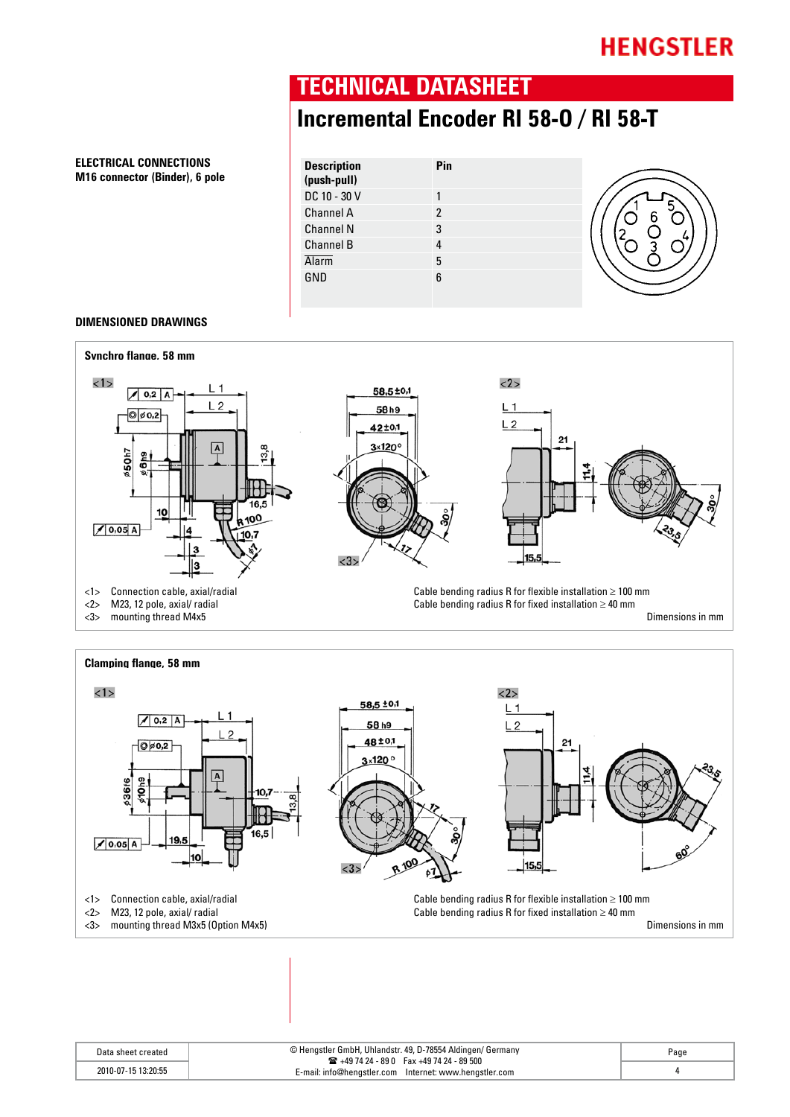### **TECHNICAL DATASHEET**

### **Incremental Encoder RI 58-O / RI 58-T**

#### **ELECTRICAL CONNECTIONS M16 connector (Binder), 6 pole**

| <b>Description</b><br>(push-pull) | Pin |  |
|-----------------------------------|-----|--|
| DC 10 - 30 V                      |     |  |
| Channel A                         | 2   |  |
| <b>Channel N</b>                  | 3   |  |
| <b>Channel B</b>                  |     |  |
| <b>Alarm</b>                      | 5   |  |
| GND                               | 6   |  |

#### **DIMENSIONED DRAWINGS**

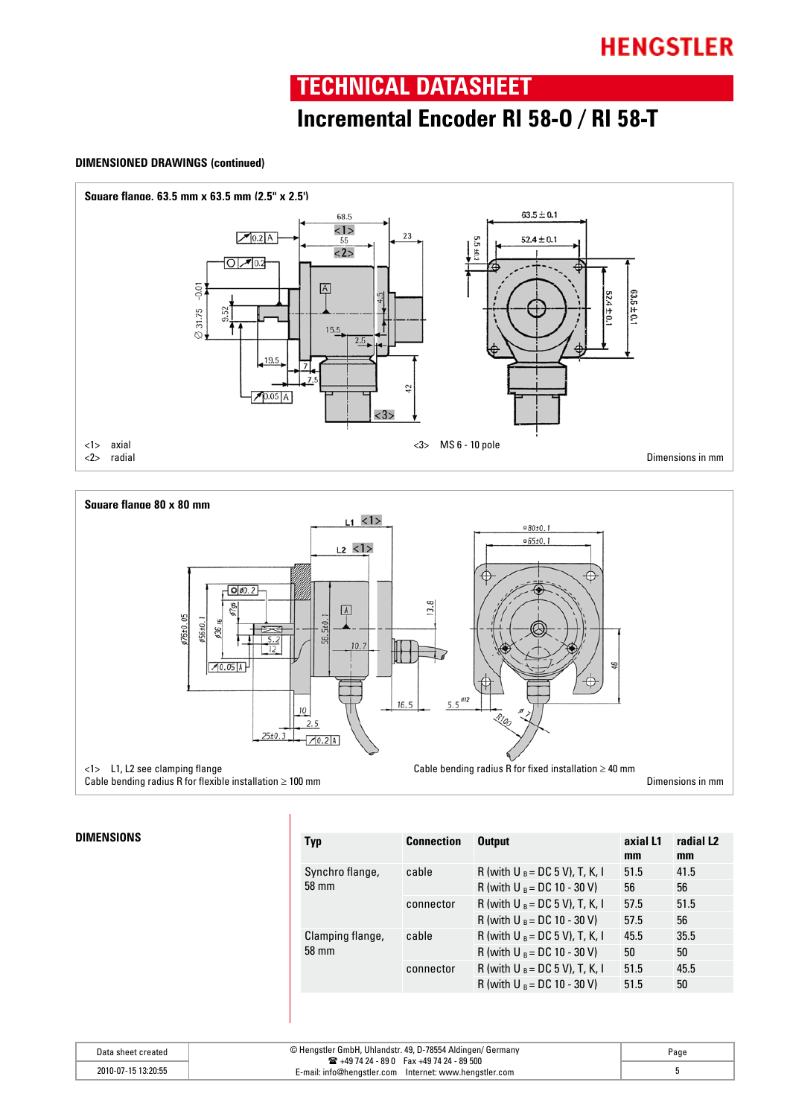### **TECHNICAL DATASHEET**

### **Incremental Encoder RI 58-O / RI 58-T**

#### **DIMENSIONED DRAWINGS (continued)**





| <b>Typ</b>                | <b>Connection</b>  | <b>Output</b>                     | axial L1 | radial L <sub>2</sub> |
|---------------------------|--------------------|-----------------------------------|----------|-----------------------|
|                           |                    |                                   | mm       | mm                    |
| Synchro flange,<br>58 mm  | cable              | R (with U $_B = DC$ 5 V), T, K, I | 51.5     | 41.5                  |
|                           |                    | R (with U $_B = DC 10 - 30 V$ )   | 56       | 56                    |
|                           | connector          | R (with U $_B = DC$ 5 V), T, K, I | 57.5     | 51.5                  |
|                           |                    | R (with U $_B = DC$ 10 - 30 V)    | 57.5     | 56                    |
| Clamping flange,<br>58 mm | cable<br>connector | R (with U $_B$ = DC 5 V), T, K, I | 45.5     | 35.5                  |
|                           |                    | R (with U $_B = DC 10 - 30 V$ )   | 50       | 50                    |
|                           |                    | R (with U $_B$ = DC 5 V), T, K, I | 51.5     | 45.5                  |
|                           |                    | R (with U $_B = DC$ 10 - 30 V)    | 51.5     | 50                    |
|                           |                    |                                   |          |                       |

| Data sheet created  | © Hengstler GmbH, Uhlandstr. 49, D-78554 Aldingen/ Germany<br>$\mathbf{R}$ +49 74 24 - 89 0 Fax +49 74 24 - 89 500 | Page |
|---------------------|--------------------------------------------------------------------------------------------------------------------|------|
| 2010-07-15 13:20:55 | E-mail: info@hengstler.com Internet: www.hengstler.com                                                             |      |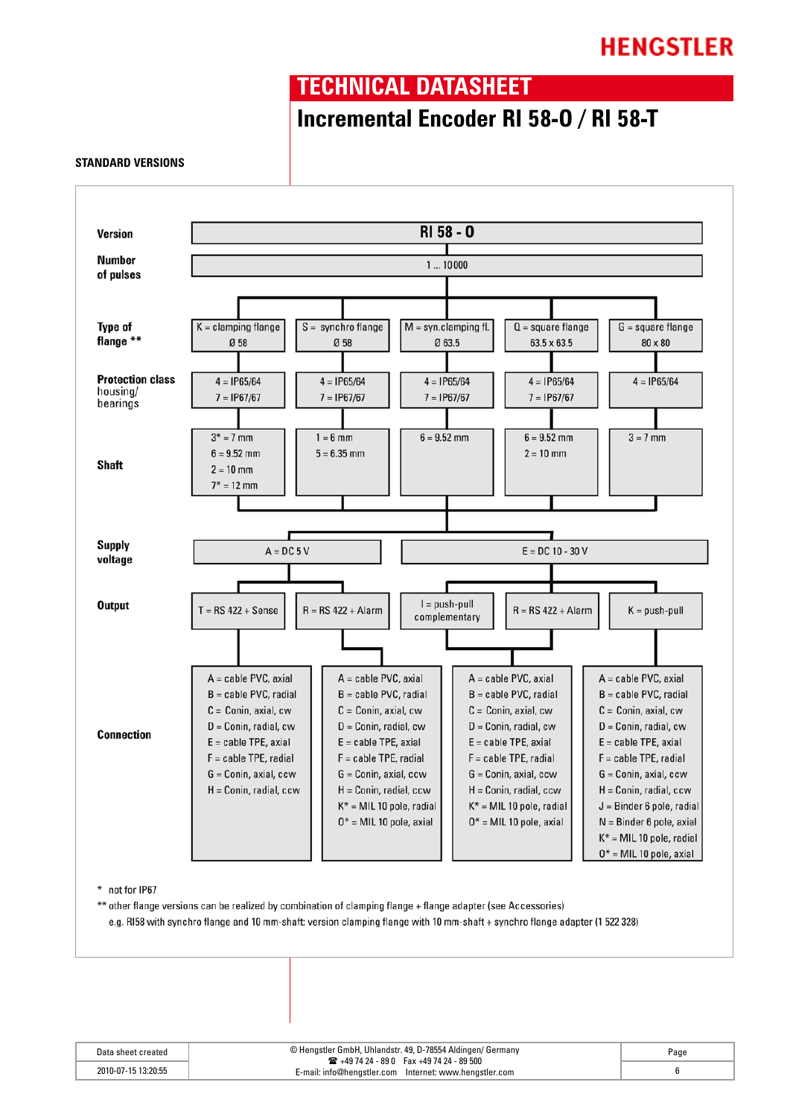### **TECHNICAL DATASHEET**

### **Incremental Encoder RI 58-O / RI 58-T**

#### **STANDARD VERSIONS**



| Data sheet created  | © Hengstler GmbH, Uhlandstr. 49, D-78554 Aldingen/ Germany                                                     | Page |
|---------------------|----------------------------------------------------------------------------------------------------------------|------|
| 2010-07-15 13:20:55 | $\mathbf{R}$ +49 74 24 - 89 0 Fax +49 74 24 - 89 500<br>c-mail: info@hengstler.com lnternet: www.hengstler.com |      |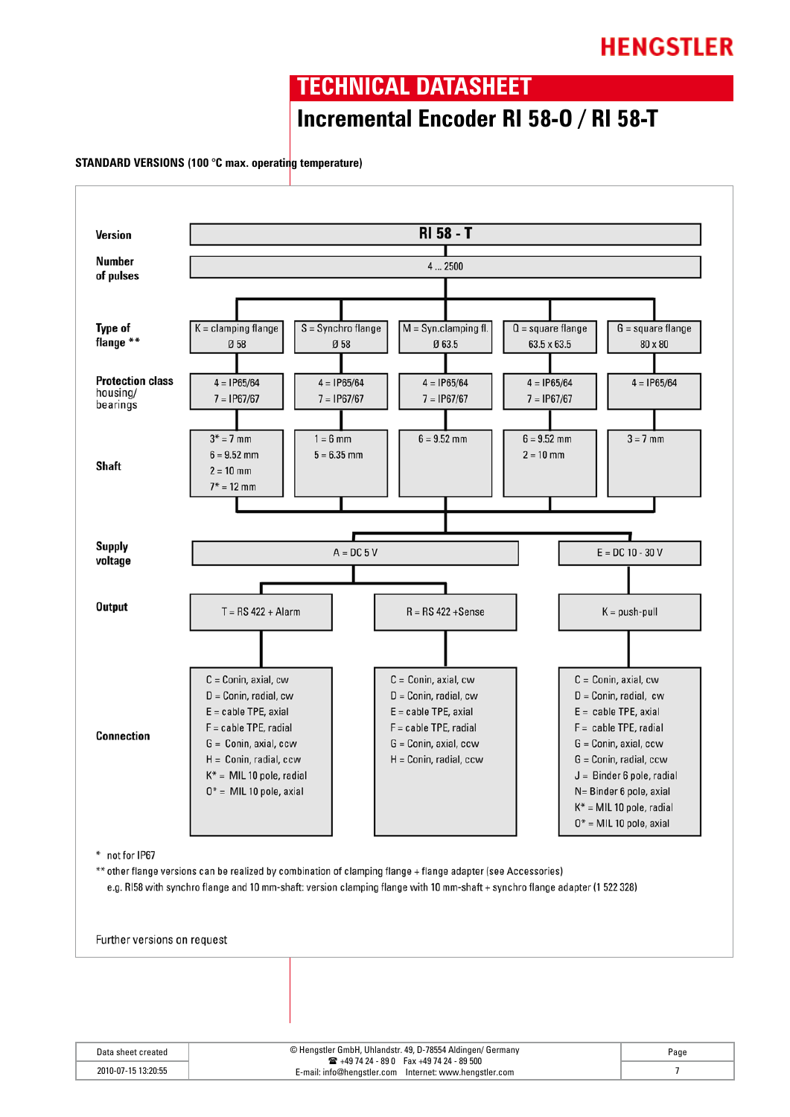### **TECHNICAL DATASHEET**

### **Incremental Encoder RI 58-O / RI 58-T**

#### **STANDARD VERSIONS (100 °C max. operating temperature)**



| Data sheet created  | © Hengstler GmbH, Uhlandstr. 49, D-78554 Aldingen/ Germany<br>$\mathbf{R}$ +49 74 24 - 89 0 Fax +49 74 24 - 89 500 | Page |
|---------------------|--------------------------------------------------------------------------------------------------------------------|------|
| 2010-07-15 13:20:55 | E-mail: info@hengstler.com Internet: www.hengstler.com                                                             |      |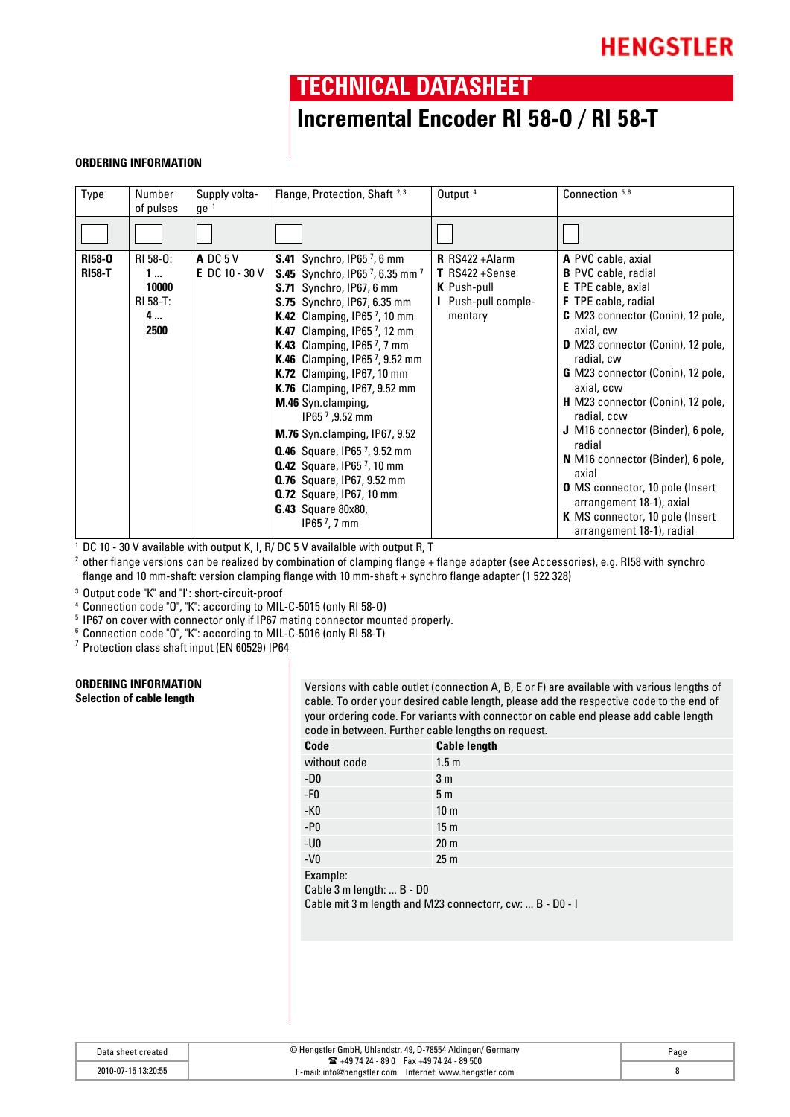### **TECHNICAL DATASHEET**

### **Incremental Encoder RI 58-O / RI 58-T**

#### **ORDERING INFORMATION**

| Type                           | Number<br>of pulses                              | Supply volta-<br>$ge^{-1}$          | Flange, Protection, Shaft <sup>2,3</sup>                                                                                                                                                                                                                                                                                                                                                                                                                                                                                                                                                                                                                                                                            | Output <sup>4</sup>                                                                                   | Connection 5, 6                                                                                                                                                                                                                                                                                                                                                                                                                                                                                                                                                   |
|--------------------------------|--------------------------------------------------|-------------------------------------|---------------------------------------------------------------------------------------------------------------------------------------------------------------------------------------------------------------------------------------------------------------------------------------------------------------------------------------------------------------------------------------------------------------------------------------------------------------------------------------------------------------------------------------------------------------------------------------------------------------------------------------------------------------------------------------------------------------------|-------------------------------------------------------------------------------------------------------|-------------------------------------------------------------------------------------------------------------------------------------------------------------------------------------------------------------------------------------------------------------------------------------------------------------------------------------------------------------------------------------------------------------------------------------------------------------------------------------------------------------------------------------------------------------------|
|                                |                                                  |                                     |                                                                                                                                                                                                                                                                                                                                                                                                                                                                                                                                                                                                                                                                                                                     |                                                                                                       |                                                                                                                                                                                                                                                                                                                                                                                                                                                                                                                                                                   |
| <b>RI58-0</b><br><b>RI58-T</b> | RI 58-0:<br>1…<br>10000<br>RI 58-T:<br>4<br>2500 | $A$ DC 5 V<br><b>E</b> DC 10 - 30 V | <b>S.41</b> Synchro, IP657, 6 mm<br>S.45 Synchro, IP65 <sup>7</sup> , 6.35 mm <sup>7</sup><br><b>S.71</b> Synchro, IP67, 6 mm<br>S.75 Synchro, IP67, 6.35 mm<br><b>K.42</b> Clamping, IP65 $^7$ , 10 mm<br><b>K.47</b> Clamping, IP65 $^7$ , 12 mm<br><b>K.43</b> Clamping, IP65 <sup>7</sup> , 7 mm<br>K.46 Clamping, IP65 7, 9.52 mm<br><b>K.72</b> Clamping, IP67, 10 mm<br><b>K.76</b> Clamping, IP67, 9.52 mm<br>M.46 Syn.clamping,<br>IP65 $^7$ , 9.52 mm<br><b>M.76</b> Syn.clamping, IP67, 9.52<br><b>0.46</b> Square, IP65 <sup>7</sup> , 9.52 mm<br><b>0.42</b> Square, IP65 $^7$ , 10 mm<br><b>0.76</b> Square, IP67, 9.52 mm<br><b>0.72</b> Square, IP67, 10 mm<br>G.43 Square 80x80,<br>$1P657$ , 7 mm | <b>R</b> $RS422 + Alarm$<br>$T$ RS422 + Sense<br><b>K</b> Push-pull<br>I Push-pull comple-<br>mentary | A PVC cable, axial<br><b>B</b> PVC cable, radial<br><b>E</b> TPE cable, axial<br><b>F</b> TPE cable, radial<br><b>C</b> M23 connector (Conin), 12 pole,<br>axial, cw<br>D M23 connector (Conin), 12 pole,<br>radial, cw<br><b>G</b> M23 connector (Conin), 12 pole,<br>axial, ccw<br>H M23 connector (Conin), 12 pole,<br>radial, ccw<br>J M16 connector (Binder), 6 pole,<br>radial<br>N M16 connector (Binder), 6 pole,<br>axial<br>O MS connector, 10 pole (Insert<br>arrangement 18-1), axial<br>K MS connector, 10 pole (Insert<br>arrangement 18-1), radial |

<sup>1</sup> DC 10 - 30 V available with output K, I, R/ DC 5 V availalble with output R, T

<sup>2</sup> other flange versions can be realized by combination of clamping flange + flange adapter (see Accessories), e.g. RI58 with synchro flange and 10 mm-shaft: version clamping flange with 10 mm-shaft + synchro flange adapter (1 522 328)

<sup>3</sup> Output code "K" and "I": short-circuit-proof

<sup>4</sup> Connection code "O", "K": according to MIL-C-5015 (only RI 58-O)

5 IP67 on cover with connector only if IP67 mating connector mounted properly.

 $\frac{6}{3}$  Connection code "O", "K": according to MIL-C-5016 (only RI 58-T)

7 Protection class shaft input (EN 60529) IP64

### **ORDERING INFORMATION**

Versions with cable outlet (connection A, B, E or F) are available with various lengths of cable. To order your desired cable length, please add the respective code to the end of your ordering code. For variants with connector on cable end please add cable length code in between. Further cable lengths on request.

| Code                        | <b>Cable length</b> |
|-----------------------------|---------------------|
| without code                | 1.5 <sub>m</sub>    |
| $-D0$                       | 3 <sub>m</sub>      |
| $\textnormal{-}\mathsf{F0}$ | 5 <sub>m</sub>      |
| $-K0$                       | 10 <sub>m</sub>     |
| $-P0$                       | 15 <sub>m</sub>     |
| $-U0$                       | 20 <sub>m</sub>     |
| $-V0$                       | 25 <sub>m</sub>     |
| Example:                    |                     |

Cable 3 m length: ... B - D0

Cable mit 3 m length and M23 connectorr, cw: ... B - D0 - I

| Data sheet created  | © Hengstler GmbH, Uhlandstr. 49, D-78554 Aldingen/ Germany                                                        | Page |
|---------------------|-------------------------------------------------------------------------------------------------------------------|------|
| 2010-07-15 13:20:55 | $\mathbf{R}$ +49 74 24 - 89 0 Fax +49 74 24 - 89 500<br>E-mail: info@henastler.com    Internet: www.henastler.com |      |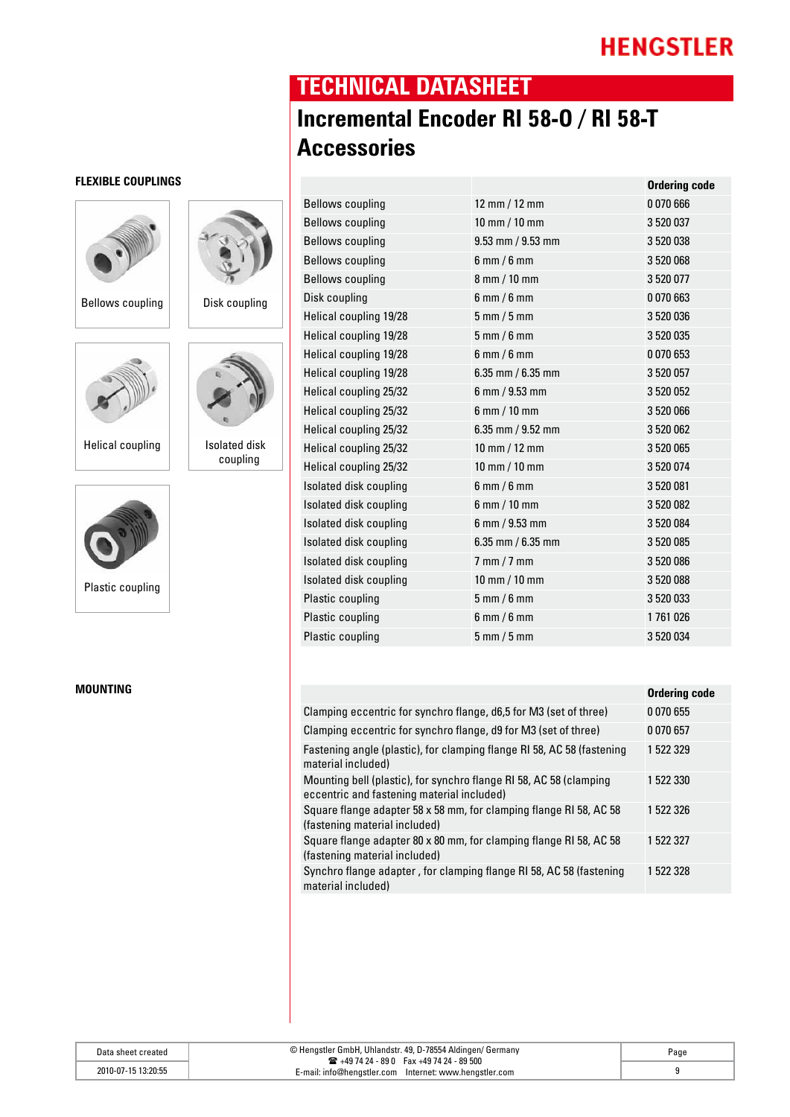**Ordering code**

### **TECHNICAL DATASHEET**

## **Incremental Encoder RI 58-O / RI 58-T Accessories**

| Bellows coupling        | 12 mm / 12 mm                         | 0 070 666 |
|-------------------------|---------------------------------------|-----------|
| <b>Bellows coupling</b> | $10 \, \text{mm}$ / $10 \, \text{mm}$ | 3 520 037 |
| <b>Bellows coupling</b> | $9.53$ mm $/ 9.53$ mm                 | 3 520 038 |
| <b>Bellows coupling</b> | $6$ mm $/6$ mm                        | 3 520 068 |
| <b>Bellows coupling</b> | 8 mm / 10 mm                          | 3 520 077 |
| Disk coupling           | $6$ mm $/6$ mm                        | 0 070 663 |
| Helical coupling 19/28  | $5 \text{ mm} / 5 \text{ mm}$         | 3 520 036 |
| Helical coupling 19/28  | $5$ mm $/6$ mm                        | 3 520 035 |
| Helical coupling 19/28  | $6$ mm $/6$ mm                        | 0 070 653 |
| Helical coupling 19/28  | $6.35$ mm / $6.35$ mm                 | 3 520 057 |
| Helical coupling 25/32  | $6 \, \text{mm}$ / 9.53 mm            | 3 520 052 |
| Helical coupling 25/32  | $6$ mm $/$ 10 mm                      | 3 520 066 |
| Helical coupling 25/32  | $6.35$ mm / $9.52$ mm                 | 3 520 062 |
| Helical coupling 25/32  | 10 mm $/$ 12 mm                       | 3 520 065 |
| Helical coupling 25/32  | $10 \, \text{mm}$ / $10 \, \text{mm}$ | 3 520 074 |
| Isolated disk coupling  | $6$ mm / $6$ mm                       | 3 520 081 |
| Isolated disk coupling  | $6$ mm $/$ 10 mm                      | 3 520 082 |
| Isolated disk coupling  | $6$ mm $/$ 9.53 mm                    | 3 520 084 |
| Isolated disk coupling  | $6.35$ mm / $6.35$ mm                 | 3 520 085 |
| Isolated disk coupling  | $7$ mm $/7$ mm                        | 3 520 086 |
| Isolated disk coupling  | $10 \, \text{mm}$ / $10 \, \text{mm}$ | 3 520 088 |
| Plastic coupling        | $5$ mm / 6 mm                         | 3 520 033 |
| Plastic coupling        | $6$ mm $/6$ mm                        | 1761026   |
| Plastic coupling        | $5$ mm $/5$ mm                        | 3 520 034 |
|                         |                                       |           |

| MOUNTING |                                                                                                                  | <b>Ordering code</b> |
|----------|------------------------------------------------------------------------------------------------------------------|----------------------|
|          | Clamping eccentric for synchro flange, d6,5 for M3 (set of three)                                                | 0070655              |
|          | Clamping eccentric for synchro flange, d9 for M3 (set of three)                                                  | 0 0 7 0 6 5 7        |
|          | Fastening angle (plastic), for clamping flange RI 58, AC 58 (fastening<br>material included)                     | 1 522 329            |
|          | Mounting bell (plastic), for synchro flange RI 58, AC 58 (clamping<br>eccentric and fastening material included) | 1 522 330            |
|          | Square flange adapter 58 x 58 mm, for clamping flange RI 58, AC 58<br>(fastening material included)              | 1 522 326            |
|          | Square flange adapter 80 x 80 mm, for clamping flange RI 58, AC 58<br>(fastening material included)              | 1 522 327            |
|          | Synchro flange adapter, for clamping flange RI 58, AC 58 (fastening<br>material included)                        | 1 522 328            |

| Data sheet created  | © Hengstler GmbH, Uhlandstr. 49, D-78554 Aldingen/ Germany<br>$\mathbf{R}$ +49 74 24 - 89 0 Fax +49 74 24 - 89 500<br>E-mail: info@hengstler.com<br>Internet: www.hengstler.com | Page |
|---------------------|---------------------------------------------------------------------------------------------------------------------------------------------------------------------------------|------|
| 2010-07-15 13:20:55 |                                                                                                                                                                                 |      |

#### **Flexible Couplings**



Bellows coupling  $\vert$  Disk coupling



Helical coupling  $\vert$  isolated disk

coupling

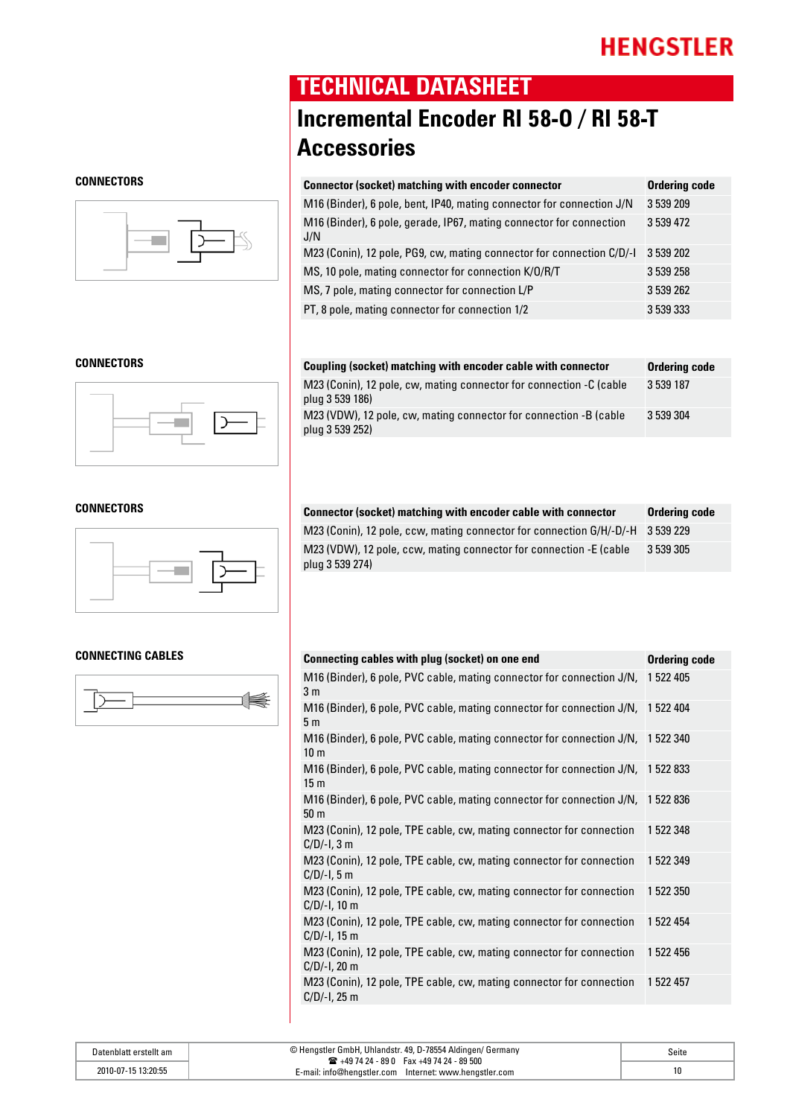

### **TECHNICAL DATASHEET**

## **Incremental Encoder RI 58-O / RI 58-T Accessories**

| <b>CONNECTORS</b> | <b>Connector (socket) matching with encoder connector</b>                  | <b>Ordering code</b> |
|-------------------|----------------------------------------------------------------------------|----------------------|
|                   | M16 (Binder), 6 pole, bent, IP40, mating connector for connection J/N      | 3 539 209            |
|                   | M16 (Binder), 6 pole, gerade, IP67, mating connector for connection<br>J/N | 3 539 472            |
|                   | M23 (Conin), 12 pole, PG9, cw, mating connector for connection C/D/-I      | 3 539 202            |
|                   | MS, 10 pole, mating connector for connection K/O/R/T                       | 3 539 258            |
|                   | MS, 7 pole, mating connector for connection L/P                            | 3 539 262            |
|                   | PT, 8 pole, mating connector for connection 1/2                            | 3 539 333            |

| <b>CONNECTORS</b> | Coupling (socket) matching with encoder cable with connector                           | Ordering code |
|-------------------|----------------------------------------------------------------------------------------|---------------|
|                   | M23 (Conin), 12 pole, cw, mating connector for connection -C (cable<br>plug 3 539 186) | 3 539 187     |
|                   | M23 (VDW), 12 pole, cw, mating connector for connection -B (cable<br>plug 3 539 252)   | 3 539 304     |



#### **CONNECTING CABLES**



| CONNECTORS | Connector (socket) matching with encoder cable with connector                         | Ordering code |
|------------|---------------------------------------------------------------------------------------|---------------|
|            | M23 (Conin), 12 pole, ccw, mating connector for connection G/H/-D/-H 3 539 229        |               |
|            | M23 (VDW), 12 pole, ccw, mating connector for connection -E (cable<br>plug 3 539 274) | 3 539 305     |

| <b>Ordering code</b>                                                            |
|---------------------------------------------------------------------------------|
| M16 (Binder), 6 pole, PVC cable, mating connector for connection J/N, 1 522 405 |
| M16 (Binder), 6 pole, PVC cable, mating connector for connection J/N, 1 522 404 |
| M16 (Binder), 6 pole, PVC cable, mating connector for connection J/N, 1 522 340 |
| M16 (Binder), 6 pole, PVC cable, mating connector for connection J/N, 1 522 833 |
| M16 (Binder), 6 pole, PVC cable, mating connector for connection J/N, 1522 836  |
| 1 522 348                                                                       |
| 1 522 349                                                                       |
| 1 522 350                                                                       |
| 1 522 454                                                                       |
| 1 522 456                                                                       |
| 1 522 457                                                                       |
|                                                                                 |

| Datenblatt erstellt am | © Hengstler GmbH, Uhlandstr. 49, D-78554 Aldingen/ Germany<br>$\mathbf{R}$ +49 74 24 - 89 0 Fax +49 74 24 - 89 500 | Seite |
|------------------------|--------------------------------------------------------------------------------------------------------------------|-------|
| 2010-07-15 13:20:55    | E-mail: info@hengstler.com Internet: www.hengstler.com                                                             |       |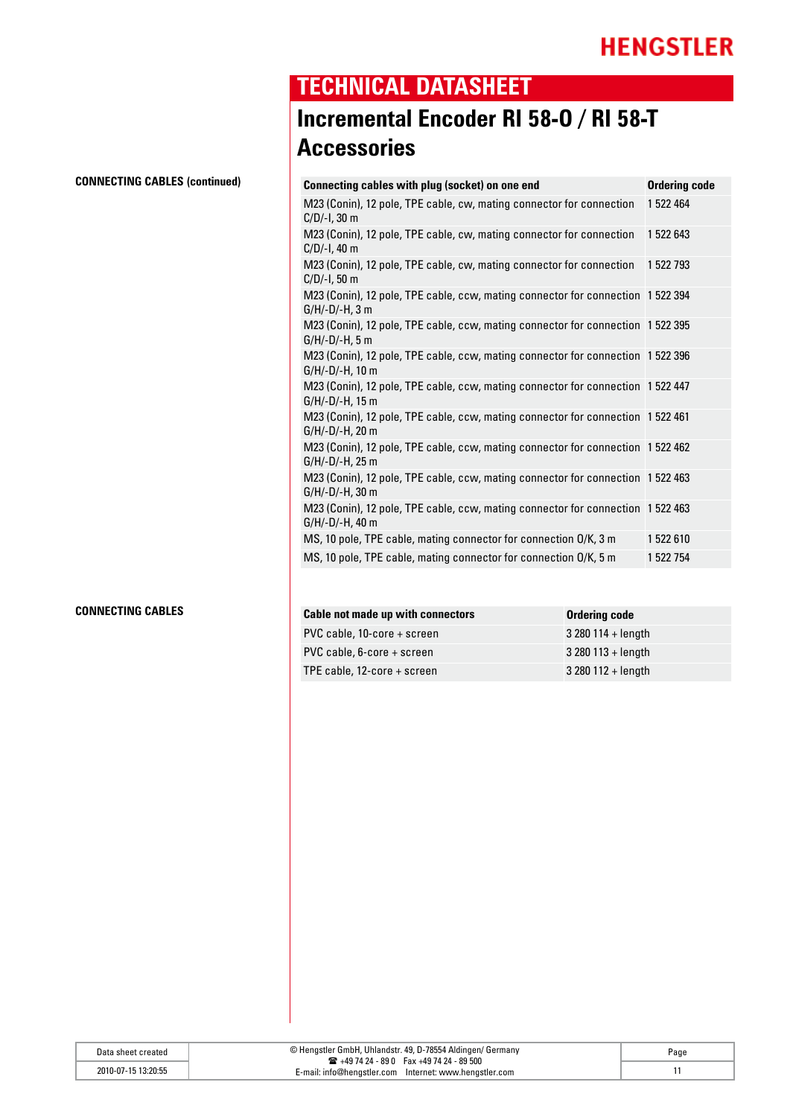### **TECHNICAL DATASHEET**

### **Incremental Encoder RI 58-O / RI 58-T Accessories**

| Connecting cables with plug (socket) on one end                                                    | <b>Ordering code</b> |
|----------------------------------------------------------------------------------------------------|----------------------|
| M23 (Conin), 12 pole, TPE cable, cw, mating connector for connection<br>C/D/-I, 30 m               | 1 522 464            |
| M23 (Conin), 12 pole, TPE cable, cw, mating connector for connection<br>C/D/-I, 40 m               | 1 522 643            |
| M23 (Conin), 12 pole, TPE cable, cw, mating connector for connection<br>C/D/-I, 50 m               | 1 522 793            |
| M23 (Conin), 12 pole, TPE cable, ccw, mating connector for connection 1 522 394<br>G/H/-D/-H, 3 m  |                      |
| M23 (Conin), 12 pole, TPE cable, ccw, mating connector for connection 1 522 395<br>G/H/-D/-H, 5 m  |                      |
| M23 (Conin), 12 pole, TPE cable, ccw, mating connector for connection 1 522 396<br>G/H/-D/-H, 10 m |                      |
| M23 (Conin), 12 pole, TPE cable, ccw, mating connector for connection 1 522 447<br>G/H/-D/-H, 15 m |                      |
| M23 (Conin), 12 pole, TPE cable, ccw, mating connector for connection 1 522 461<br>G/H/-D/-H, 20 m |                      |
| M23 (Conin), 12 pole, TPE cable, ccw, mating connector for connection 1 522 462<br>G/H/-D/-H, 25 m |                      |
| M23 (Conin), 12 pole, TPE cable, ccw, mating connector for connection 1 522 463<br>G/H/-D/-H, 30 m |                      |
| M23 (Conin), 12 pole, TPE cable, ccw, mating connector for connection 1 522 463<br>G/H/-D/-H, 40 m |                      |
| MS, 10 pole, TPE cable, mating connector for connection O/K, 3 m                                   | 1 522 610            |
| MS, 10 pole, TPE cable, mating connector for connection O/K, 5 m                                   | 1 522 754            |

#### **CONNECTING CABLES**

| Cable not made up with connectors | Ordering code      |
|-----------------------------------|--------------------|
| PVC cable, 10-core + screen       | $3280114 + length$ |
| $PVC$ cable, 6-core + screen      | $3280113 +$ length |
| TPE cable, 12-core + screen       | $3280112 + length$ |

| Data sheet created  | © Hengstler GmbH, Uhlandstr. 49, D-78554 Aldingen/ Germany                                                     | Page |
|---------------------|----------------------------------------------------------------------------------------------------------------|------|
| 2010-07-15 13:20:55 | $\mathbf{R}$ +49 74 24 - 89 0 Fax +49 74 24 - 89 500<br>E-mail: info@hengstler.com Internet: www.hengstler.com |      |

### **Connecting cables (continued)**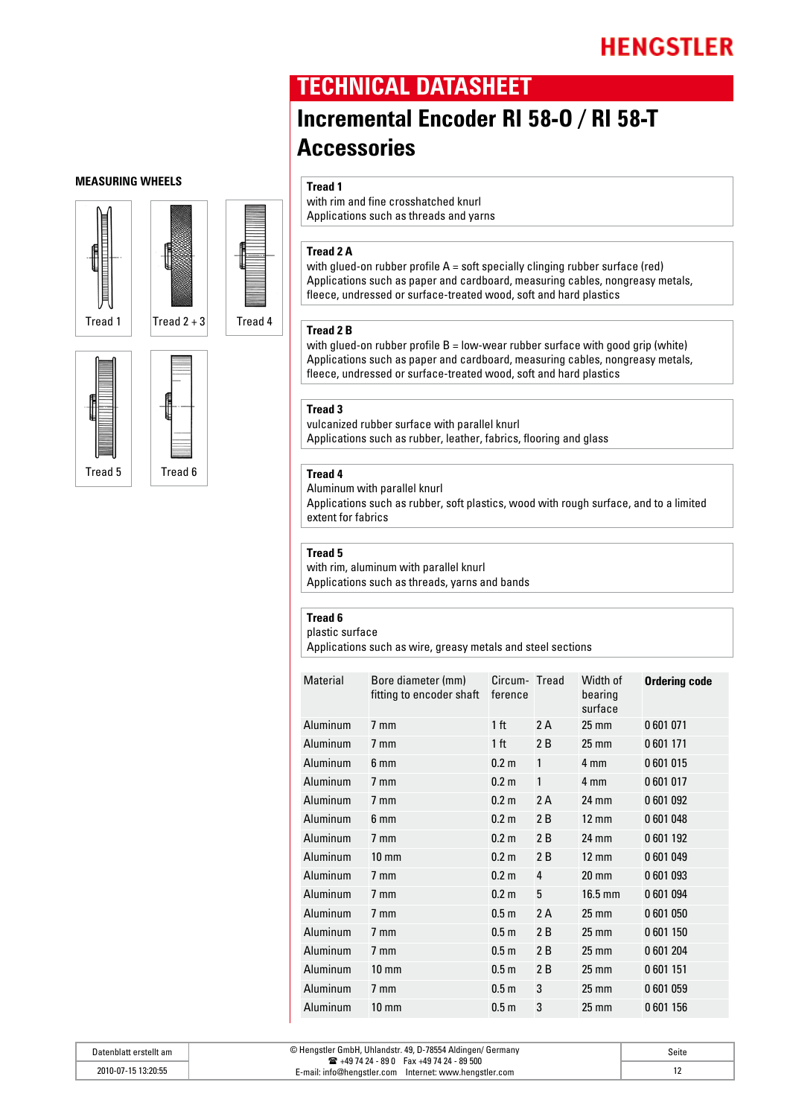### **TECHNICAL DATASHEET**

### **Incremental Encoder RI 58-O / RI 58-T Accessories**

#### **Tread 1**

with rim and fine crosshatched knurl Applications such as threads and yarns

### **Tread 2 A**

with glued-on rubber profile A = soft specially clinging rubber surface (red) Applications such as paper and cardboard, measuring cables, nongreasy metals, fleece, undressed or surface-treated wood, soft and hard plastics

#### **Tread 2 B**

with glued-on rubber profile  $B = low$ -wear rubber surface with good grip (white) Applications such as paper and cardboard, measuring cables, nongreasy metals, fleece, undressed or surface-treated wood, soft and hard plastics

#### **Tread 3**

vulcanized rubber surface with parallel knurl Applications such as rubber, leather, fabrics, flooring and glass

### **Tread 4**

Aluminum with parallel knurl Applications such as rubber, soft plastics, wood with rough surface, and to a limited extent for fabrics

#### **Tread 5**

with rim, aluminum with parallel knurl Applications such as threads, yarns and bands

#### **Tread 6**

plastic surface

Applications such as wire, greasy metals and steel sections

| Material | Bore diameter (mm)<br>fitting to encoder shaft | Circum- Tread<br>ference |    | Width of<br>bearing<br>surface | <b>Ordering code</b> |
|----------|------------------------------------------------|--------------------------|----|--------------------------------|----------------------|
| Aluminum | $7 \text{ mm}$                                 | 1 <sub>ft</sub>          | 2A | $25 \text{ mm}$                | 0601071              |
| Aluminum | $7 \text{ mm}$                                 | 1 <sub>ft</sub>          | 2B | $25 \text{ mm}$                | 0601171              |
| Aluminum | 6 mm                                           | 0.2 <sub>m</sub>         | 1  | 4 mm                           | 0601015              |
| Aluminum | $7 \text{ mm}$                                 | 0.2 <sub>m</sub>         | 1  | 4 mm                           | 0601017              |
| Aluminum | $7 \text{ mm}$                                 | 0.2 <sub>m</sub>         | 2A | 24 mm                          | 0601092              |
| Aluminum | 6 mm                                           | 0.2 <sub>m</sub>         | 2B | $12 \text{ mm}$                | 0601048              |
| Aluminum | $7 \text{ mm}$                                 | 0.2 <sub>m</sub>         | 2B | 24 mm                          | 0601192              |
| Aluminum | $10 \text{ mm}$                                | 0.2 <sub>m</sub>         | 2B | $12 \text{ mm}$                | 0601049              |
| Aluminum | $7 \text{ mm}$                                 | 0.2 <sub>m</sub>         | 4  | $20 \text{ mm}$                | 0601093              |
| Aluminum | $7 \text{ mm}$                                 | 0.2 <sub>m</sub>         | 5  | $16.5$ mm                      | 0601094              |
| Aluminum | $7 \text{ mm}$                                 | 0.5 <sub>m</sub>         | 2A | $25 \text{ mm}$                | 0601050              |
| Aluminum | $7 \text{ mm}$                                 | 0.5 <sub>m</sub>         | 2B | $25 \text{ mm}$                | 0601150              |
| Aluminum | $7 \text{ mm}$                                 | 0.5 <sub>m</sub>         | 2B | $25 \text{ mm}$                | 0601204              |
| Aluminum | $10 \text{ mm}$                                | 0.5 <sub>m</sub>         | 2B | $25 \text{ mm}$                | 0601151              |
| Aluminum | $7 \text{ mm}$                                 | 0.5 <sub>m</sub>         | 3  | $25 \text{ mm}$                | 0601059              |
| Aluminum | $10 \text{ mm}$                                | 0.5 <sub>m</sub>         | 3  | $25 \text{ mm}$                | 0601156              |

#### Datenblatt erstellt am © Hengstler GmbH, Uhlandstr. 49, D-78554 Aldingen/ Germany  $\text{ m } +497424 - 890$  Fax +4974 24 - 89 500 E-mail: info@hengstler.com Internet: www.hengstler.com 2010-07-15 13:20:55 12 Seite

### **Measuring Wheels**